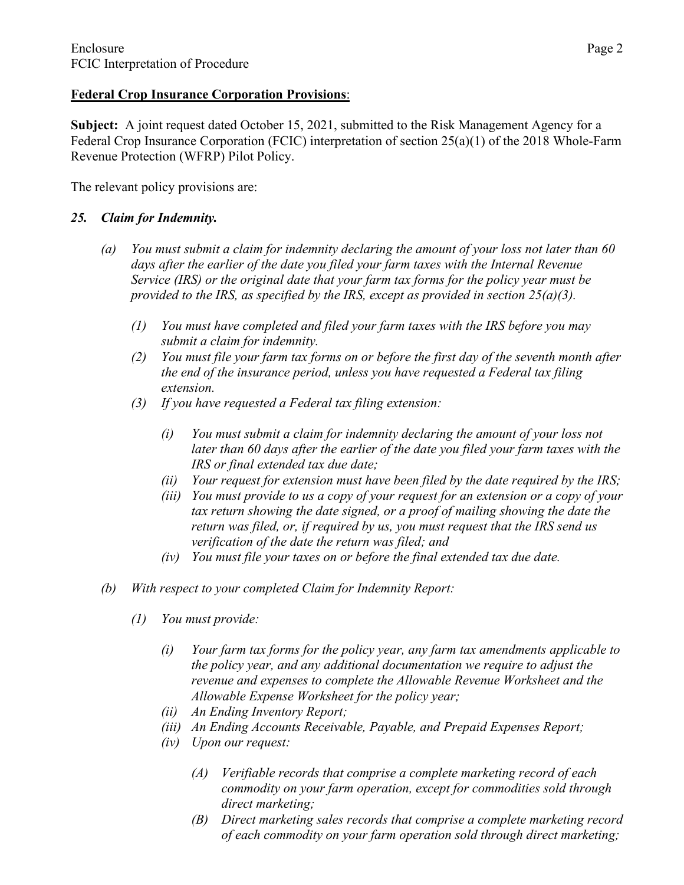## **Federal Crop Insurance Corporation Provisions**:

**Subject:** A joint request dated October 15, 2021, submitted to the Risk Management Agency for a Federal Crop Insurance Corporation (FCIC) interpretation of section 25(a)(1) of the 2018 Whole-Farm Revenue Protection (WFRP) Pilot Policy.

The relevant policy provisions are:

# *25. Claim for Indemnity.*

- *(a) You must submit a claim for indemnity declaring the amount of your loss not later than 60 days after the earlier of the date you filed your farm taxes with the Internal Revenue Service (IRS) or the original date that your farm tax forms for the policy year must be provided to the IRS, as specified by the IRS, except as provided in section 25(a)(3).*
	- *(1) You must have completed and filed your farm taxes with the IRS before you may submit a claim for indemnity.*
	- *(2) You must file your farm tax forms on or before the first day of the seventh month after the end of the insurance period, unless you have requested a Federal tax filing extension.*
	- *(3) If you have requested a Federal tax filing extension:*
		- *(i) You must submit a claim for indemnity declaring the amount of your loss not later than 60 days after the earlier of the date you filed your farm taxes with the IRS or final extended tax due date;*
		- *(ii) Your request for extension must have been filed by the date required by the IRS;*
		- *(iii) You must provide to us a copy of your request for an extension or a copy of your tax return showing the date signed, or a proof of mailing showing the date the return was filed, or, if required by us, you must request that the IRS send us verification of the date the return was filed; and*
		- *(iv) You must file your taxes on or before the final extended tax due date.*
- *(b) With respect to your completed Claim for Indemnity Report:*
	- *(1) You must provide:*
		- *(i) Your farm tax forms for the policy year, any farm tax amendments applicable to the policy year, and any additional documentation we require to adjust the revenue and expenses to complete the Allowable Revenue Worksheet and the Allowable Expense Worksheet for the policy year;*
		- *(ii) An Ending Inventory Report;*
		- *(iii) An Ending Accounts Receivable, Payable, and Prepaid Expenses Report;*
		- *(iv) Upon our request:*
			- *(A) Verifiable records that comprise a complete marketing record of each commodity on your farm operation, except for commodities sold through direct marketing;*
			- *(B) Direct marketing sales records that comprise a complete marketing record of each commodity on your farm operation sold through direct marketing;*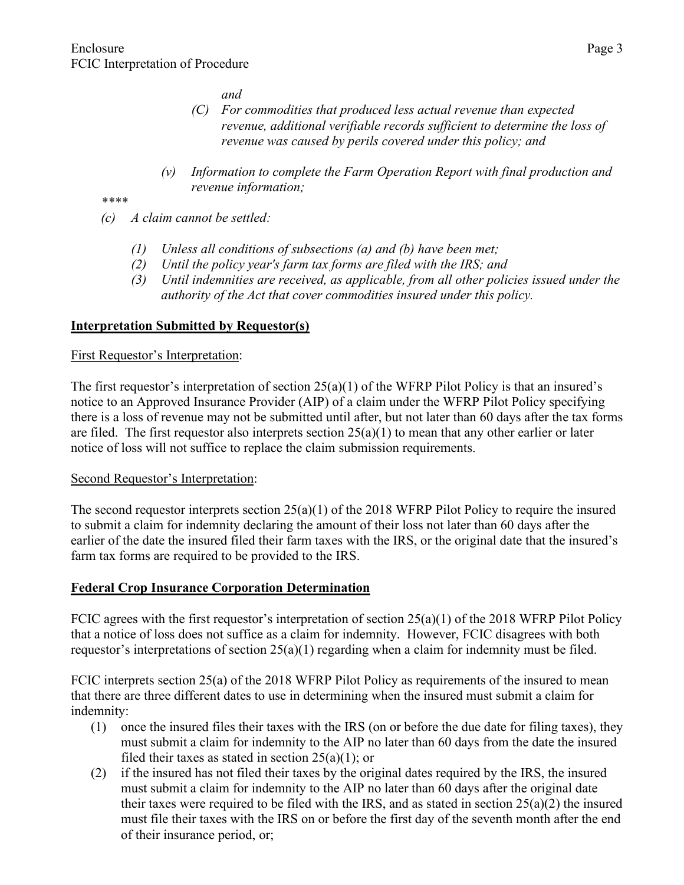*and*

- *(C) For commodities that produced less actual revenue than expected revenue, additional verifiable records sufficient to determine the loss of revenue was caused by perils covered under this policy; and*
- *(v) Information to complete the Farm Operation Report with final production and revenue information;*

*\*\*\*\**

- *(c) A claim cannot be settled:*
	- *(1) Unless all conditions of subsections (a) and (b) have been met;*
	- *(2) Until the policy year's farm tax forms are filed with the IRS; and*
	- *(3) Until indemnities are received, as applicable, from all other policies issued under the authority of the Act that cover commodities insured under this policy.*

## **Interpretation Submitted by Requestor(s)**

### First Requestor's Interpretation:

The first requestor's interpretation of section 25(a)(1) of the WFRP Pilot Policy is that an insured's notice to an Approved Insurance Provider (AIP) of a claim under the WFRP Pilot Policy specifying there is a loss of revenue may not be submitted until after, but not later than 60 days after the tax forms are filed. The first requestor also interprets section  $25(a)(1)$  to mean that any other earlier or later notice of loss will not suffice to replace the claim submission requirements.

#### Second Requestor's Interpretation:

The second requestor interprets section 25(a)(1) of the 2018 WFRP Pilot Policy to require the insured to submit a claim for indemnity declaring the amount of their loss not later than 60 days after the earlier of the date the insured filed their farm taxes with the IRS, or the original date that the insured's farm tax forms are required to be provided to the IRS.

#### **Federal Crop Insurance Corporation Determination**

FCIC agrees with the first requestor's interpretation of section  $25(a)(1)$  of the 2018 WFRP Pilot Policy that a notice of loss does not suffice as a claim for indemnity. However, FCIC disagrees with both requestor's interpretations of section  $25(a)(1)$  regarding when a claim for indemnity must be filed.

FCIC interprets section 25(a) of the 2018 WFRP Pilot Policy as requirements of the insured to mean that there are three different dates to use in determining when the insured must submit a claim for indemnity:

- (1) once the insured files their taxes with the IRS (on or before the due date for filing taxes), they must submit a claim for indemnity to the AIP no later than 60 days from the date the insured filed their taxes as stated in section  $25(a)(1)$ ; or
- (2) if the insured has not filed their taxes by the original dates required by the IRS, the insured must submit a claim for indemnity to the AIP no later than 60 days after the original date their taxes were required to be filed with the IRS, and as stated in section  $25(a)(2)$  the insured must file their taxes with the IRS on or before the first day of the seventh month after the end of their insurance period, or;